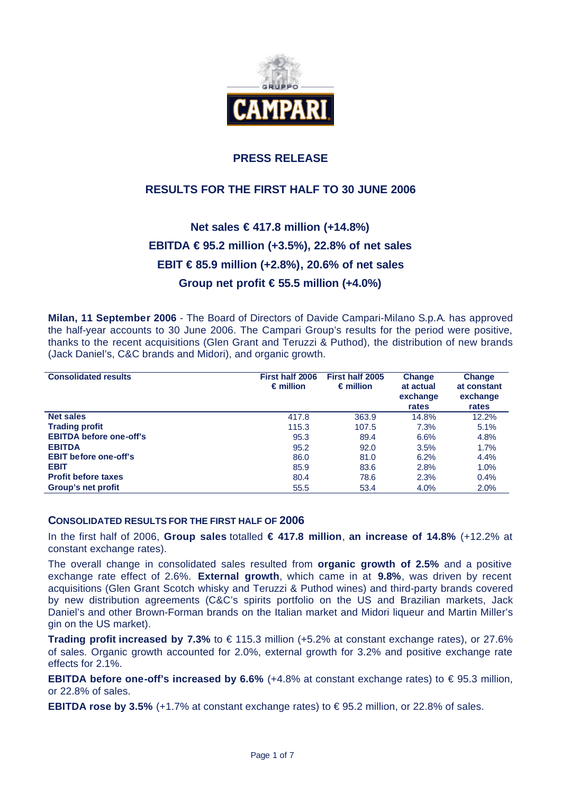

# **PRESS RELEASE**

# **RESULTS FOR THE FIRST HALF TO 30 JUNE 2006**

# **Net sales € 417.8 million (+14.8%) EBITDA € 95.2 million (+3.5%), 22.8% of net sales EBIT € 85.9 million (+2.8%), 20.6% of net sales Group net profit € 55.5 million (+4.0%)**

**Milan, 11 September 2006** - The Board of Directors of Davide Campari-Milano S.p.A. has approved the half-year accounts to 30 June 2006. The Campari Group's results for the period were positive, thanks to the recent acquisitions (Glen Grant and Teruzzi & Puthod), the distribution of new brands (Jack Daniel's, C&C brands and Midori), and organic growth.

| <b>Consolidated results</b>    | First half 2006<br>$\epsilon$ million | First half 2005<br>$\epsilon$ million | Change<br>at actual<br>exchange<br>rates | Change<br>at constant<br>exchange<br>rates |
|--------------------------------|---------------------------------------|---------------------------------------|------------------------------------------|--------------------------------------------|
| Net sales                      | 417.8                                 | 363.9                                 | 14.8%                                    | 12.2%                                      |
| <b>Trading profit</b>          | 115.3                                 | 107.5                                 | 7.3%                                     | 5.1%                                       |
| <b>EBITDA before one-off's</b> | 95.3                                  | 89.4                                  | 6.6%                                     | 4.8%                                       |
| <b>EBITDA</b>                  | 95.2                                  | 92.0                                  | 3.5%                                     | 1.7%                                       |
| <b>EBIT before one-off's</b>   | 86.0                                  | 81.0                                  | 6.2%                                     | 4.4%                                       |
| <b>EBIT</b>                    | 85.9                                  | 83.6                                  | 2.8%                                     | 1.0%                                       |
| <b>Profit before taxes</b>     | 80.4                                  | 78.6                                  | 2.3%                                     | 0.4%                                       |
| Group's net profit             | 55.5                                  | 53.4                                  | 4.0%                                     | 2.0%                                       |

#### **CONSOLIDATED RESULTS FOR THE FIRST HALF OF 2006**

In the first half of 2006, **Group sales** totalled **€ 417.8 million**, **an increase of 14.8%** (+12.2% at constant exchange rates).

The overall change in consolidated sales resulted from **organic growth of 2.5%** and a positive exchange rate effect of 2.6%. **External growth**, which came in at **9.8%**, was driven by recent acquisitions (Glen Grant Scotch whisky and Teruzzi & Puthod wines) and third-party brands covered by new distribution agreements (C&C's spirits portfolio on the US and Brazilian markets, Jack Daniel's and other Brown-Forman brands on the Italian market and Midori liqueur and Martin Miller's gin on the US market).

**Trading profit increased by 7.3%** to € 115.3 million (+5.2% at constant exchange rates), or 27.6% of sales. Organic growth accounted for 2.0%, external growth for 3.2% and positive exchange rate effects for 2.1%.

**EBITDA before one-off's increased by 6.6%**  $(+4.8%$  at constant exchange rates) to €95.3 million, or 22.8% of sales.

**EBITDA rose by 3.5%** (+1.7% at constant exchange rates) to  $\in$  95.2 million, or 22.8% of sales.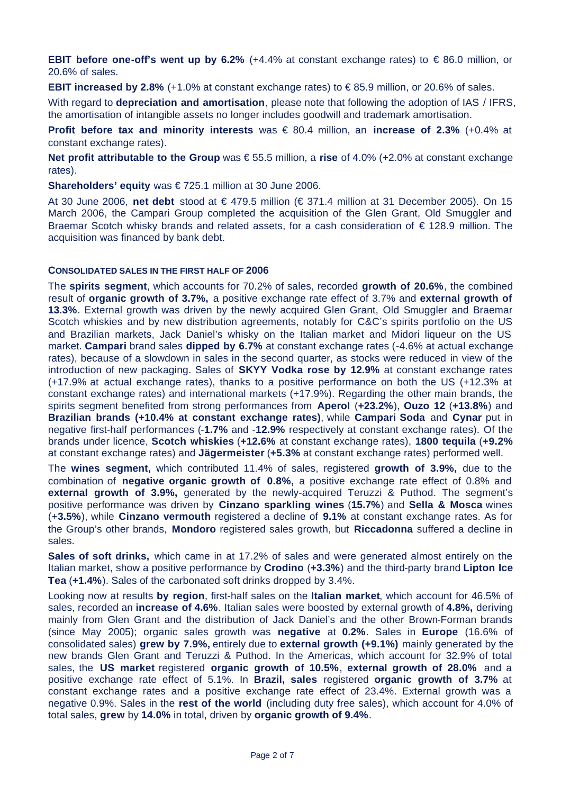**EBIT before one-off's went up by 6.2%** (+4.4% at constant exchange rates) to  $\in$  86.0 million, or 20.6% of sales.

**EBIT increased by 2.8%** (+1.0% at constant exchange rates) to € 85.9 million, or 20.6% of sales.

With regard to **depreciation and amortisation**, please note that following the adoption of IAS / IFRS, the amortisation of intangible assets no longer includes goodwill and trademark amortisation.

**Profit before tax and minority interests** was € 80.4 million, an **increase of 2.3%** (+0.4% at constant exchange rates).

**Net profit attributable to the Group** was € 55.5 million, a **rise** of 4.0% (+2.0% at constant exchange rates).

**Shareholders' equity** was € 725.1 million at 30 June 2006.

At 30 June 2006, **net debt** stood at € 479.5 million (€ 371.4 million at 31 December 2005). On 15 March 2006, the Campari Group completed the acquisition of the Glen Grant, Old Smuggler and Braemar Scotch whisky brands and related assets, for a cash consideration of € 128.9 million. The acquisition was financed by bank debt.

#### **CONSOLIDATED SALES IN THE FIRST HALF OF 2006**

The **spirits segment**, which accounts for 70.2% of sales, recorded **growth of 20.6%**, the combined result of **organic growth of 3.7%,** a positive exchange rate effect of 3.7% and **external growth of 13.3%**. External growth was driven by the newly acquired Glen Grant, Old Smuggler and Braemar Scotch whiskies and by new distribution agreements, notably for C&C's spirits portfolio on the US and Brazilian markets, Jack Daniel's whisky on the Italian market and Midori liqueur on the US market. **Campari** brand sales **dipped by 6.7%** at constant exchange rates (-4.6% at actual exchange rates), because of a slowdown in sales in the second quarter, as stocks were reduced in view of the introduction of new packaging. Sales of **SKYY Vodka rose by 12.9%** at constant exchange rates (+17.9% at actual exchange rates), thanks to a positive performance on both the US (+12.3% at constant exchange rates) and international markets (+17.9%). Regarding the other main brands, the spirits segment benefited from strong performances from **Aperol** (**+23.2%**), **Ouzo 12** (**+13.8%**) and **Brazilian brands (+10.4% at constant exchange rates)**, while **Campari Soda** and **Cynar** put in negative first-half performances (-**1.7%** and -**12.9%** respectively at constant exchange rates). Of the brands under licence, **Scotch whiskies** (**+12.6%** at constant exchange rates), **1800 tequila** (**+9.2%**  at constant exchange rates) and **Jägermeister** (**+5.3%** at constant exchange rates) performed well.

The **wines segment,** which contributed 11.4% of sales, registered **growth of 3.9%,** due to the combination of **negative organic growth of 0.8%,** a positive exchange rate effect of 0.8% and **external growth of 3.9%,** generated by the newly-acquired Teruzzi & Puthod. The segment's positive performance was driven by **Cinzano sparkling wines** (**15.7%**) and **Sella & Mosca** wines (+**3.5%**), while **Cinzano vermouth** registered a decline of **9.1%** at constant exchange rates. As for the Group's other brands, **Mondoro** registered sales growth, but **Riccadonna** suffered a decline in sales.

**Sales of soft drinks,** which came in at 17.2% of sales and were generated almost entirely on the Italian market, show a positive performance by **Crodino** (**+3.3%**) and the third-party brand **Lipton Ice Tea** (**+1.4%**). Sales of the carbonated soft drinks dropped by 3.4%.

Looking now at results **by region**, first-half sales on the **Italian market**, which account for 46.5% of sales, recorded an **increase of 4.6%**. Italian sales were boosted by external growth of **4.8%,** deriving mainly from Glen Grant and the distribution of Jack Daniel's and the other Brown-Forman brands (since May 2005); organic sales growth was **negative** at **0.2%**. Sales in **Europe** (16.6% of consolidated sales) **grew by 7.9%,** entirely due to **external growth (+9.1%)** mainly generated by the new brands Glen Grant and Teruzzi & Puthod. In the Americas, which account for 32.9% of total sales, the **US market** registered **organic growth of 10.5%**, **external growth of 28.0%** and a positive exchange rate effect of 5.1%. In **Brazil, sales** registered **organic growth of 3.7%** at constant exchange rates and a positive exchange rate effect of 23.4%. External growth was a negative 0.9%. Sales in the **rest of the world** (including duty free sales), which account for 4.0% of total sales, **grew** by **14.0%** in total, driven by **organic growth of 9.4%**.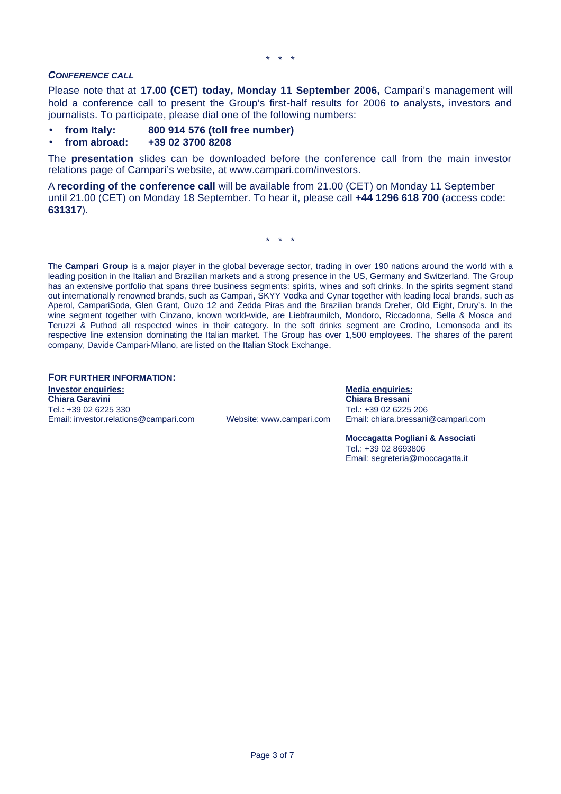#### *CONFERENCE CALL*

Please note that at **17.00 (CET) today, Monday 11 September 2006,** Campari's management will hold a conference call to present the Group's first-half results for 2006 to analysts, investors and journalists. To participate, please dial one of the following numbers:

- **from Italy: 800 914 576 (toll free number)**
- **from abroad: +39 02 3700 8208**

The **presentation** slides can be downloaded before the conference call from the main investor relations page of Campari's website, at www.campari.com/investors.

A **recording of the conference call** will be available from 21.00 (CET) on Monday 11 September until 21.00 (CET) on Monday 18 September. To hear it, please call **+44 1296 618 700** (access code: **631317**).

\* \* \*

The **Campari Group** is a major player in the global beverage sector, trading in over 190 nations around the world with a leading position in the Italian and Brazilian markets and a strong presence in the US, Germany and Switzerland. The Group has an extensive portfolio that spans three business segments: spirits, wines and soft drinks. In the spirits segment stand out internationally renowned brands, such as Campari, SKYY Vodka and Cynar together with leading local brands, such as Aperol, CampariSoda, Glen Grant, Ouzo 12 and Zedda Piras and the Brazilian brands Dreher, Old Eight, Drury's. In the wine segment together with Cinzano, known world-wide, are Liebfraumilch, Mondoro, Riccadonna, Sella & Mosca and Teruzzi & Puthod all respected wines in their category. In the soft drinks segment are Crodino, Lemonsoda and its respective line extension dominating the Italian market. The Group has over 1,500 employees. The shares of the parent company, Davide Campari-Milano, are listed on the Italian Stock Exchange.

**FOR FURTHER INFORMATION:**

**Investor enquiries: Media enquiries:** Tel.: +39 02 6225 330<br>Email: investor.relations@campari.com Website: www.campari.com Email: chiara.bressani@campari.com Email: investor.relations@campari.com

**Chiara Garavini Chiara Bressani**

**Moccagatta Pogliani & Associati** Tel.: +39 02 8693806 Email: segreteria@moccagatta.it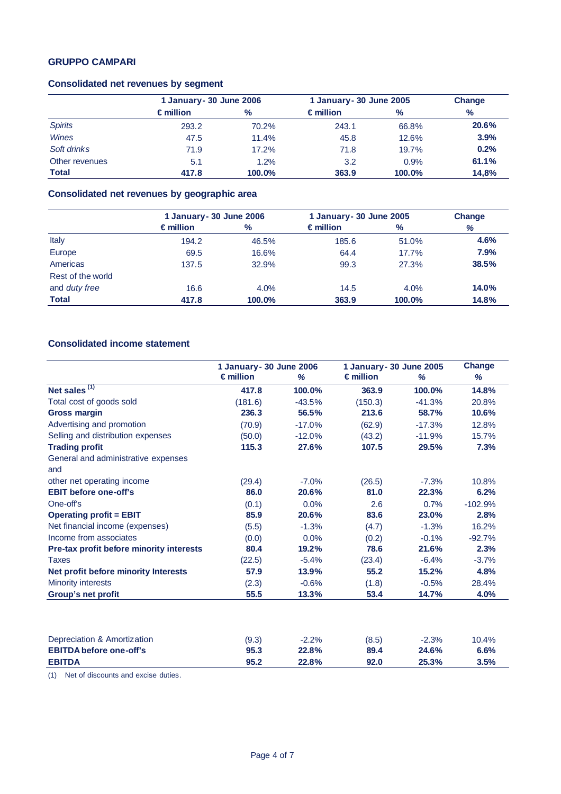#### **GRUPPO CAMPARI**

# **Consolidated net revenues by segment**

|                |                    | 1 January - 30 June 2006 |                    | 1 January - 30 June 2005 |               |
|----------------|--------------------|--------------------------|--------------------|--------------------------|---------------|
|                | $\epsilon$ million | %                        | $\epsilon$ million | $\frac{9}{6}$            | $\frac{9}{6}$ |
| <b>Spirits</b> | 293.2              | 70.2%                    | 243.1              | 66.8%                    | 20.6%         |
| <b>Wines</b>   | 47.5               | 11.4%                    | 45.8               | 12.6%                    | 3.9%          |
| Soft drinks    | 71.9               | $17.2\%$                 | 71.8               | 19.7%                    | 0.2%          |
| Other revenues | 5.1                | 1.2%                     | 3.2                | 0.9%                     | 61.1%         |
| <b>Total</b>   | 417.8              | 100.0%                   | 363.9              | 100.0%                   | 14,8%         |

#### **Consolidated net revenues by geographic area**

|                      |                    | 1 January - 30 June 2006 |                    | 1 January - 30 June 2005 |       |  |
|----------------------|--------------------|--------------------------|--------------------|--------------------------|-------|--|
|                      | $\epsilon$ million | $\%$                     | $\epsilon$ million | ℅                        | %     |  |
| Italy                | 194.2              | 46.5%                    | 185.6              | 51.0%                    | 4.6%  |  |
| Europe               | 69.5               | 16.6%                    | 64.4               | 17.7%                    | 7.9%  |  |
| Americas             | 137.5              | 32.9%                    | 99.3               | 27.3%                    | 38.5% |  |
| Rest of the world    |                    |                          |                    |                          |       |  |
| and <i>duty</i> free | 16.6               | 4.0%                     | 14.5               | 4.0%                     | 14.0% |  |
| <b>Total</b>         | 417.8              | 100.0%                   | 363.9              | 100.0%                   | 14.8% |  |

### **Consolidated income statement**

|                                          | 1 January - 30 June 2006 |          | 1 January - 30 June 2005 |          | Change    |
|------------------------------------------|--------------------------|----------|--------------------------|----------|-----------|
|                                          | $\epsilon$ million       | %        | $\epsilon$ million       | %        | %         |
| Net sales $(1)$                          | 417.8                    | 100.0%   | 363.9                    | 100.0%   | 14.8%     |
| Total cost of goods sold                 | (181.6)                  | $-43.5%$ | (150.3)                  | $-41.3%$ | 20.8%     |
| <b>Gross margin</b>                      | 236.3                    | 56.5%    | 213.6                    | 58.7%    | 10.6%     |
| Advertising and promotion                | (70.9)                   | $-17.0%$ | (62.9)                   | $-17.3%$ | 12.8%     |
| Selling and distribution expenses        | (50.0)                   | $-12.0%$ | (43.2)                   | $-11.9%$ | 15.7%     |
| <b>Trading profit</b>                    | 115.3                    | 27.6%    | 107.5                    | 29.5%    | 7.3%      |
| General and administrative expenses      |                          |          |                          |          |           |
| and                                      |                          |          |                          |          |           |
| other net operating income               | (29.4)                   | $-7.0%$  | (26.5)                   | $-7.3%$  | 10.8%     |
| <b>EBIT before one-off's</b>             | 86.0                     | 20.6%    | 81.0                     | 22.3%    | 6.2%      |
| One-off's                                | (0.1)                    | 0.0%     | 2.6                      | 0.7%     | $-102.9%$ |
| <b>Operating profit = EBIT</b>           | 85.9                     | 20.6%    | 83.6                     | 23.0%    | 2.8%      |
| Net financial income (expenses)          | (5.5)                    | $-1.3%$  | (4.7)                    | $-1.3%$  | 16.2%     |
| Income from associates                   | (0.0)                    | 0.0%     | (0.2)                    | $-0.1%$  | $-92.7%$  |
| Pre-tax profit before minority interests | 80.4                     | 19.2%    | 78.6                     | 21.6%    | 2.3%      |
| <b>Taxes</b>                             | (22.5)                   | $-5.4%$  | (23.4)                   | $-6.4%$  | $-3.7%$   |
| Net profit before minority Interests     | 57.9                     | 13.9%    | 55.2                     | 15.2%    | 4.8%      |
| <b>Minority interests</b>                | (2.3)                    | $-0.6%$  | (1.8)                    | $-0.5%$  | 28.4%     |
| Group's net profit                       | 55.5                     | 13.3%    | 53.4                     | 14.7%    | 4.0%      |
|                                          |                          |          |                          |          |           |
| Depreciation & Amortization              | (9.3)                    | $-2.2%$  | (8.5)                    | $-2.3%$  | 10.4%     |
| <b>EBITDA before one-off's</b>           | 95.3                     | 22.8%    | 89.4                     | 24.6%    | 6.6%      |
| <b>EBITDA</b>                            | 95.2                     | 22.8%    | 92.0                     | 25.3%    | 3.5%      |

(1) Net of discounts and excise duties.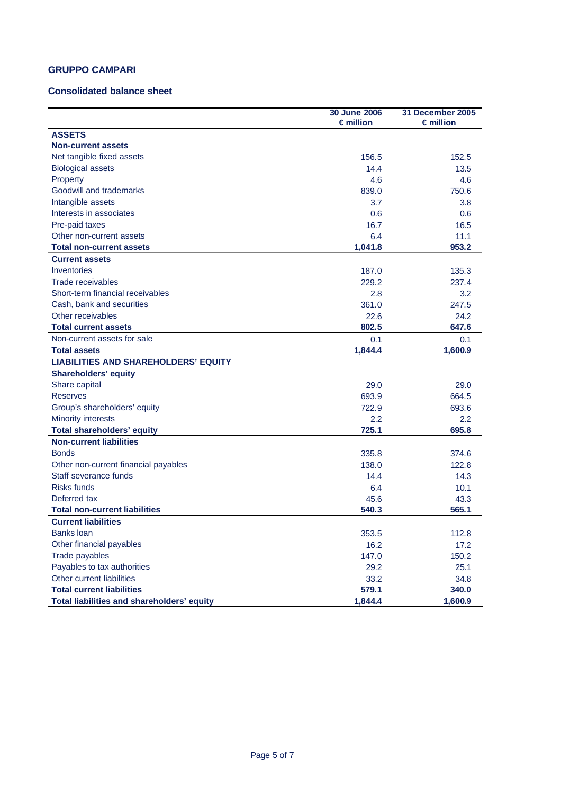### **GRUPPO CAMPARI**

#### **Consolidated balance sheet**

|                                             | 30 June 2006       | 31 December 2005   |
|---------------------------------------------|--------------------|--------------------|
|                                             | $\epsilon$ million | $\epsilon$ million |
| <b>ASSETS</b>                               |                    |                    |
| <b>Non-current assets</b>                   |                    |                    |
| Net tangible fixed assets                   | 156.5              | 152.5              |
| <b>Biological assets</b>                    | 14.4               | 13.5               |
| Property                                    | 4.6                | 4.6                |
| Goodwill and trademarks                     | 839.0              | 750.6              |
| Intangible assets                           | 3.7                | 3.8                |
| Interests in associates                     | 0.6                | 0.6                |
| Pre-paid taxes                              | 16.7               | 16.5               |
| Other non-current assets                    | 6.4                | 11.1               |
| <b>Total non-current assets</b>             | 1,041.8            | 953.2              |
| <b>Current assets</b>                       |                    |                    |
| Inventories                                 | 187.0              | 135.3              |
| <b>Trade receivables</b>                    | 229.2              | 237.4              |
| Short-term financial receivables            | 2.8                | 3.2                |
| Cash, bank and securities                   | 361.0              | 247.5              |
| Other receivables                           | 22.6               | 24.2               |
| <b>Total current assets</b>                 | 802.5              | 647.6              |
| Non-current assets for sale                 | 0.1                | 0.1                |
| <b>Total assets</b>                         | 1,844.4            | 1,600.9            |
| <b>LIABILITIES AND SHAREHOLDERS' EQUITY</b> |                    |                    |
| <b>Shareholders' equity</b>                 |                    |                    |
| Share capital                               | 29.0               | 29.0               |
| <b>Reserves</b>                             | 693.9              | 664.5              |
| Group's shareholders' equity                | 722.9              | 693.6              |
| <b>Minority interests</b>                   | 2.2                | 2.2                |
| <b>Total shareholders' equity</b>           | 725.1              | 695.8              |
| <b>Non-current liabilities</b>              |                    |                    |
| <b>Bonds</b>                                | 335.8              | 374.6              |
| Other non-current financial payables        | 138.0              | 122.8              |
| Staff severance funds                       | 14.4               | 14.3               |
| <b>Risks funds</b>                          | 6.4                | 10.1               |
| Deferred tax                                | 45.6               | 43.3               |
| <b>Total non-current liabilities</b>        | 540.3              | 565.1              |
| <b>Current liabilities</b>                  |                    |                    |
| <b>Banks loan</b>                           | 353.5              | 112.8              |
| Other financial payables                    | 16.2               | 17.2               |
| Trade payables                              | 147.0              | 150.2              |
| Payables to tax authorities                 | 29.2               | 25.1               |
| Other current liabilities                   | 33.2               | 34.8               |
| <b>Total current liabilities</b>            | 579.1              | 340.0              |
| Total liabilities and shareholders' equity  | 1,844.4            | 1,600.9            |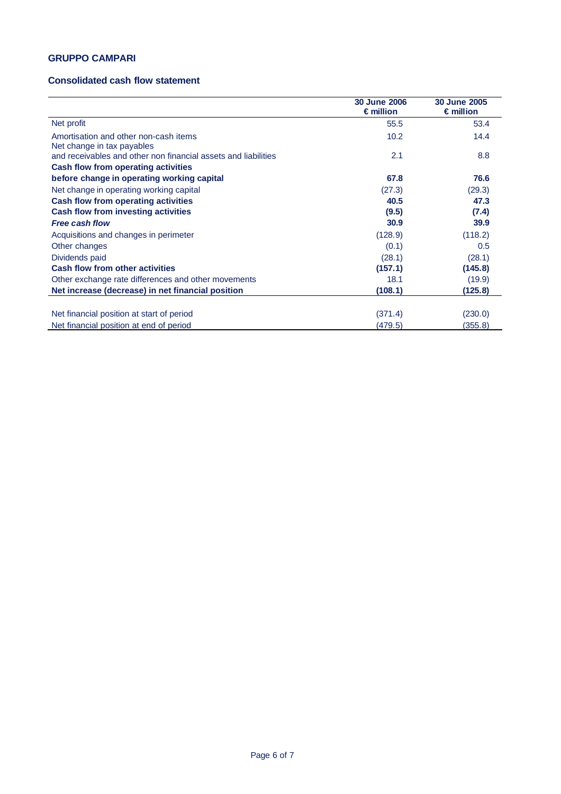### **GRUPPO CAMPARI**

#### **Consolidated cash flow statement**

|                                                                     | <b>30 June 2006</b><br>$\epsilon$ million | <b>30 June 2005</b><br>$\epsilon$ million |
|---------------------------------------------------------------------|-------------------------------------------|-------------------------------------------|
| Net profit                                                          | 55.5                                      | 53.4                                      |
| Amortisation and other non-cash items<br>Net change in tax payables | 10.2                                      | 14.4                                      |
| and receivables and other non financial assets and liabilities      | 2.1                                       | 8.8                                       |
| <b>Cash flow from operating activities</b>                          |                                           |                                           |
| before change in operating working capital                          | 67.8                                      | 76.6                                      |
| Net change in operating working capital                             | (27.3)                                    | (29.3)                                    |
| <b>Cash flow from operating activities</b>                          | 40.5                                      | 47.3                                      |
| Cash flow from investing activities                                 | (9.5)                                     | (7.4)                                     |
| <b>Free cash flow</b>                                               | 30.9                                      | 39.9                                      |
| Acquisitions and changes in perimeter                               | (128.9)                                   | (118.2)                                   |
| Other changes                                                       | (0.1)                                     | 0.5                                       |
| Dividends paid                                                      | (28.1)                                    | (28.1)                                    |
| <b>Cash flow from other activities</b>                              | (157.1)                                   | (145.8)                                   |
| Other exchange rate differences and other movements                 | 18.1                                      | (19.9)                                    |
| Net increase (decrease) in net financial position                   | (108.1)                                   | (125.8)                                   |
|                                                                     |                                           |                                           |
| Net financial position at start of period                           | (371.4)                                   | (230.0)                                   |
| Net financial position at end of period                             | (479.5)                                   | (355.8)                                   |